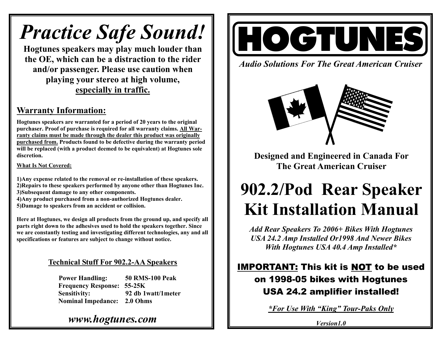# *Practice Safe Sound!*

**Hogtunes speakers may play much louder than the OE, which can be a distraction to the rider and/or passenger. Please use caution when playing your stereo at high volume, especially in traffic.** 

## **Warranty Information:**

**Hogtunes speakers are warranted for a period of 20 years to the original purchaser. Proof of purchase is required for all warranty claims. All Warranty claims must be made through the dealer this product was originally purchased from. Products found to be defective during the warranty period will be replaced (with a product deemed to be equivalent) at Hogtunes sole discretion.** 

**What Is Not Covered:**

**1)Any expense related to the removal or re-installation of these speakers. 2)Repairs to these speakers performed by anyone other than Hogtunes Inc. 3)Subsequent damage to any other components.** 

- **4)Any product purchased from a non-authorized Hogtunes dealer.**
- **5)Damage to speakers from an accident or collision.**

**Here at Hogtunes, we design all products from the ground up, and specify all parts right down to the adhesives used to hold the speakers together. Since we are constantly testing and investigating different technologies, any and all specifications or features are subject to change without notice.**

### **Technical Stuff For 902.2-AA Speakers**

**Power Handling: 50 RMS-100 Peak Frequency Response: 55-25K Sensitivity: 92 db 1watt/1meter Nominal Impedance: 2.0 Ohms** 

# HOGTUNES

*Audio Solutions For The Great American Cruiser* 



**Designed and Engineered in Canada For The Great American Cruiser** 

# **902.2/Pod Rear Speaker Kit Installation Manual**

*Add Rear Speakers To 2006+ Bikes With Hogtunes USA 24.2 Amp Installed Or1998 And Newer Bikes With Hogtunes USA 40.4 Amp Installed\** 

# IMPORTANT: This kit is NOT to be used on 1998-05 bikes with Hogtunes USA 24.2 amplifier installed!

*\*For Use With "King" Tour-Paks Only*

*Version1.0*

# *www.hogtunes.com*